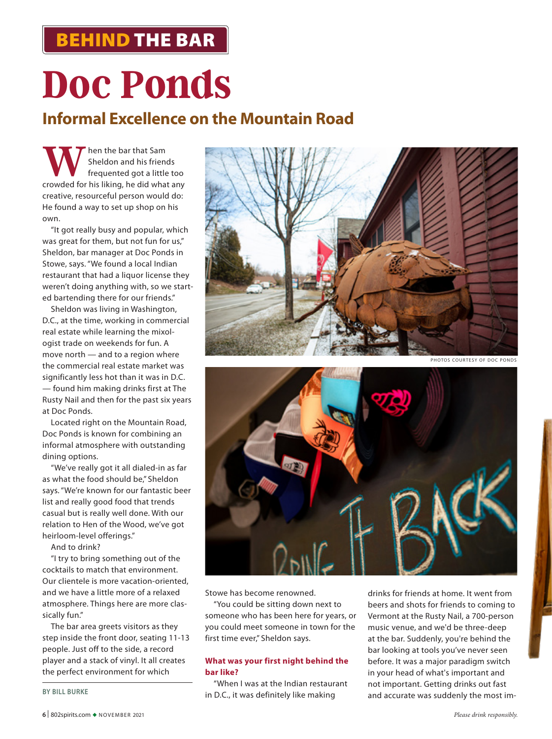## BEHIND THE BAR

# **Doc Ponds**

### **Informal Excellence on the Mountain Road**

**W** Sheldon and his friends<br>
frequented got a little too<br>
crowded for his liking, he did what any Sheldon and his friends frequented got a little too creative, resourceful person would do: He found a way to set up shop on his own.

"It got really busy and popular, which was great for them, but not fun for us," Sheldon, bar manager at Doc Ponds in Stowe, says. "We found a local Indian restaurant that had a liquor license they weren't doing anything with, so we started bartending there for our friends."

Sheldon was living in Washington, D.C., at the time, working in commercial real estate while learning the mixologist trade on weekends for fun. A move north — and to a region where the commercial real estate market was significantly less hot than it was in D.C. — found him making drinks first at The Rusty Nail and then for the past six years at Doc Ponds.

Located right on the Mountain Road, Doc Ponds is known for combining an informal atmosphere with outstanding dining options.

"We've really got it all dialed-in as far as what the food should be," Sheldon says. "We're known for our fantastic beer list and really good food that trends casual but is really well done. With our relation to Hen of the Wood, we've got heirloom-level offerings."

And to drink?

"I try to bring something out of the cocktails to match that environment. Our clientele is more vacation-oriented, and we have a little more of a relaxed atmosphere. Things here are more classically fun."

The bar area greets visitors as they step inside the front door, seating 11-13 people. Just off to the side, a record player and a stack of vinyl. It all creates the perfect environment for which

**BY BILL BURKE**







Stowe has become renowned.

"You could be sitting down next to someone who has been here for years, or you could meet someone in town for the first time ever," Sheldon says.

### **What was your first night behind the bar like?**

"When I was at the Indian restaurant in D.C., it was definitely like making

drinks for friends at home. It went from beers and shots for friends to coming to Vermont at the Rusty Nail, a 700-person music venue, and we'd be three-deep at the bar. Suddenly, you're behind the bar looking at tools you've never seen before. It was a major paradigm switch in your head of what's important and not important. Getting drinks out fast and accurate was suddenly the most im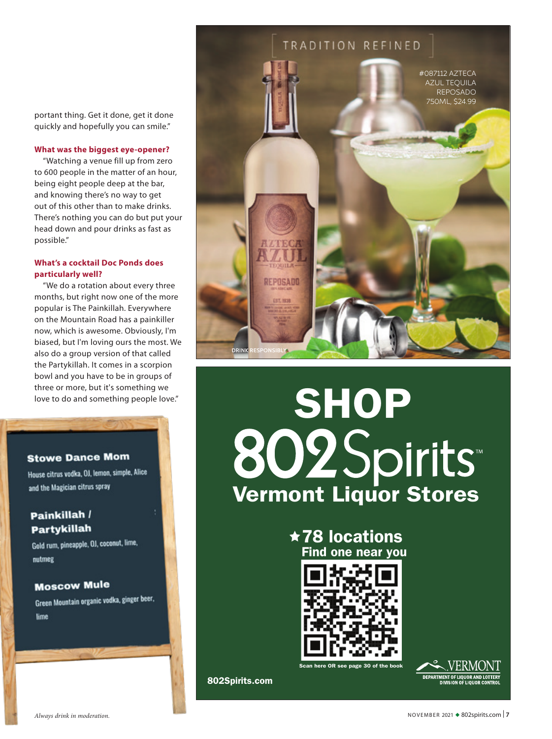portant thing. Get it done, get it done quickly and hopefully you can smile."

### **What was the biggest eye-opener?**

"Watching a venue fill up from zero to 600 people in the matter of an hour, being eight people deep at the bar, and knowing there's no way to get out of this other than to make drinks. There's nothing you can do but put your head down and pour drinks as fast as possible."

### **What's a cocktail Doc Ponds does particularly well?**

"We do a rotation about every three months, but right now one of the more popular is The Painkillah. Everywhere on the Mountain Road has a painkiller now, which is awesome. Obviously, I'm biased, but I'm loving ours the most. We also do a group version of that called the Partykillah. It comes in a scorpion bowl and you have to be in groups of three or more, but it's something we

### **Stowe Dance Mom**

House citrus vodka, OJ, lemon, simple, Alice and the Magician citrus spray

### Painkillah / **Partykillah**

Gold rum, pineapple, OJ, coconut, lime, nutmeg

### **Moscow Mule**

Green Mountain organic vodka, ginger beer, lime



# tove to do and something people love."<br>Iove to do and something people love."<br>SHOP Vermont Liquor Stores

**★78 locations** Find one near you



here OR see page 30 of the book



802Spirits.com

*Always drink in moderation.* November 2021  $\bullet$  802spirits.com  $\vert 7$